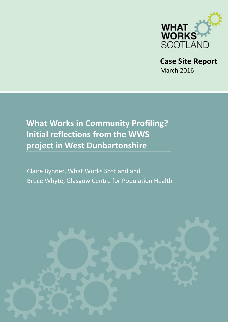

**Case Site Report** March 2016

**What Works in Community Profiling? Initial reflections from the WWS project in West Dunbartonshire** 

Claire Bynner, What Works Scotland and Bruce Whyte, Glasgow Centre for Population Health

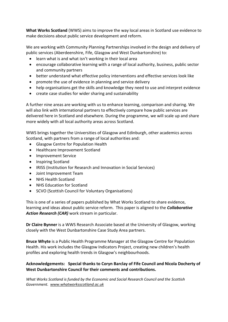**What Works Scotland** (WWS) aims to improve the way local areas in Scotland use evidence to make decisions about public service development and reform.

We are working with Community Planning Partnerships involved in the design and delivery of public services (Aberdeenshire, [Fife,](http://whatworksscotland.ac.uk/casestudyareas/fife/) [Glasgow](http://whatworksscotland.ac.uk/casestudyareas/glasgow/) and [West Dunbartonshire\)](http://whatworksscotland.ac.uk/casestudyareas/west-dunbartonshire/) to:

- learn what is and what isn't working in their local area
- encourage collaborative learning with a range of local authority, business, public sector and community partners
- better understand what effective policy interventions and effective services look like
- promote the use of evidence in planning and service delivery
- help organisations get the skills and knowledge they need to use and interpret evidence
- create case studies for wider sharing and sustainability

A further nine areas are working with us to enhance learning, comparison and sharing. We will also link with international partners to effectively compare how public services are delivered here in Scotland and elsewhere. During the programme, we will scale up and share more widely with all local authority areas across Scotland.

WWS brings together the Universities of Glasgow and Edinburgh, other academics across Scotland, with partners from a range of local authorities and:

- Glasgow Centre for Population Health
- Healthcare Improvement Scotland
- Improvement Service
- Inspiring Scotland
- IRISS (Institution for Research and Innovation in Social Services)
- Joint Improvement Team
- NHS Health Scotland
- NHS Education for Scotland
- SCVO (Scottish Council for Voluntary Organisations)

This is one of a series of papers published by What Works Scotland to share evidence, learning and ideas about public service reform. This paper is aligned to the *Collaborative Action Research (CAR)* work stream in particular.

**Dr Claire Bynner** is a WWS Research Associate based at the University of Glasgow, working closely with the West Dunbartonshire Case Study Area partners.

**Bruce Whyte** is a Public Health Programme Manager at the Glasgow Centre for Population Health. His work includes the Glasgow Indicators Project, creating new children's health profiles and exploring health trends in Glasgow's neighbourhoods.

#### **Acknowledgements: Special thanks to Coryn Barclay of Fife Council and Nicola Docherty of West Dunbartonshire Council for their comments and contributions.**

*What Works Scotland is funded by the Economic and Social Research Council and the Scottish Government. [www.whatworksscotland.ac.uk](http://whatworksscotland.ac.uk/the-project/)*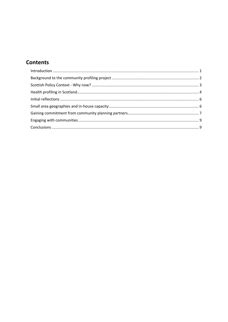# **Contents**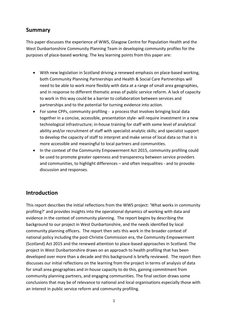### **Summary**

This paper discusses the experience of WWS, Glasgow Centre for Population Health and the West Dunbartonshire Community Planning Team in developing community profiles for the purposes of place-based working. The key learning points from this paper are:

- With new legislation in Scotland driving a renewed emphasis on place-based working, both Community Planning Partnerships and Health & Social Care Partnerships will need to be able to work more flexibly with data at a range of small area geographies, and in response to different thematic areas of public service reform. A lack of capacity to work in this way could be a barrier to collaboration between services and partnerships and to the potential for turning evidence into action.
- For some CPPs, community profiling a process that involves bringing local data together in a concise, accessible, presentation style- will require investment in a new technological infrastructure; in-house training for staff with some level of analytical ability and/or recruitment of staff with specialist analytic skills; and specialist support to develop the capacity of staff to interpret and make sense of local data so that it is more accessible and meaningful to local partners and communities.
- In the context of the Community Empowerment Act 2015, community profiling could be used to promote greater openness and transparency between service providers and communities, to highlight differences – and often inequalities - and to provoke discussion and responses.

## <span id="page-3-0"></span>**Introduction**

This report describes the initial reflections from the WWS project: 'What works in community profiling?' and provides insights into the operational dynamics of working with data and evidence in the context of community planning. The report begins by describing the background to our project in West Dunbartonshire, and the needs identified by local community planning officers. The report then sets this work in the broader context of national policy including the post-Christie Commission era, the Community Empowerment (Scotland) Act 2015 and the renewed attention to place-based approaches in Scotland. The project in West Dunbartonshire draws on an approach to health profiling that has been developed over more than a decade and this background is briefly reviewed. The report then discusses our initial reflections on the learning from the project in terms of analysis of data for small area geographies and in-house capacity to do this, gaining commitment from community planning partners, and engaging communities. The final section draws some conclusions that may be of relevance to national and local organisations especially those with an interest in public service reform and community profiling.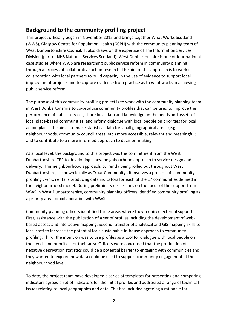## <span id="page-4-0"></span>**Background to the community profiling project**

This project officially began in November 2015 and brings together What Works Scotland (WWS), Glasgow Centre for Population Health (GCPH) with the community planning team of West Dunbartonshire Council. It also draws on the expertise of The Information Services Division (part of NHS National Services Scotland). West Dunbartonshire is one of four national case studies where WWS are researching public service reform in community planning through a process of collaborative action research. The aim of this approach is to work in collaboration with local partners to build capacity in the use of evidence to support local improvement projects and to capture evidence from practice as to what works in achieving public service reform.

The purpose of this community profiling project is to work with the community planning team in West Dunbartonshire to co-produce community profiles that can be used to improve the performance of public services, share local data and knowledge on the needs and assets of local place-based communities, and inform dialogue with local people on priorities for local action plans. The aim is to make statistical data for small geographical areas (e.g. neighbourhoods, community council areas, etc.) more accessible, relevant and meaningful; and to contribute to a more informed approach to decision-making.

At a local level, the background to this project was the commitment from the West Dunbartonshire CPP to developing a new neighbourhood approach to service design and delivery.This neighbourhood approach, currently being rolled out throughout West Dunbartonshire, is known locally as 'Your Community'. It involves a process of 'community profiling', which entails producing data indicators for each of the 17 communities defined in the neighbourhood model. During preliminary discussions on the focus of the support from WWS in West Dunbartonshire, community planning officers identified community profiling as a priority area for collaboration with WWS.

Community planning officers identified three areas where they required external support. First, assistance with the publication of a set of profiles including the development of webbased access and interactive mapping. Second, transfer of analytical and GIS mapping skills to local staff to increase the potential for a sustainable in-house approach to community profiling. Third, the intention was to use profiles as a tool for dialogue with local people on the needs and priorities for their area. Officers were concerned that the production of negative deprivation statistics could be a potential barrier to engaging with communities and they wanted to explore how data could be used to support community engagement at the neighbourhood level.

To date, the project team have developed a series of templates for presenting and comparing indicators agreed a set of indicators for the initial profiles and addressed a range of technical issues relating to local geographies and data. This has included agreeing a rationale for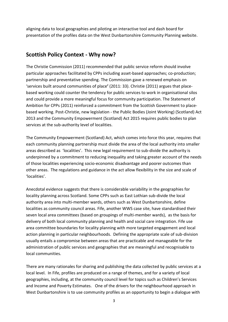aligning data to local geographies and piloting an interactive tool and dash board for presentation of the profiles data on the West Dunbartonshire Community Planning website*.*

## <span id="page-5-0"></span>**Scottish Policy Context - Why now?**

The Christie Commission (2011) recommended that public service reform should involve particular approaches facilitated by CPPs including asset-based approaches; co-production; partnership and preventative spending. The Commission gave a renewed emphasis on 'services built around communities of place**'** (2011: 33). Christie (2011) argues that placebased working could counter the tendency for public services to work in organisational silos and could provide a more meaningful focus for community participation. The Statement of Ambition for CPPs (2011) reinforced a commitment from the Scottish Government to placebased working. Post-Christie, new legislation - the Public Bodies (Joint Working) (Scotland) Act 2013 and the Community Empowerment (Scotland) Act 2015 requires public bodies to plan services at the sub-authority level of localities.

The Community Empowerment (Scotland) Act, which comes into force this year, requires that each community planning partnership must divide the area of the local authority into smaller areas described as 'localities'. This new legal requirement to sub-divide the authority is underpinned by a commitment to reducing inequality and taking greater account of the needs of those localities experiencing socio-economic disadvantage and poorer outcomes than other areas. The regulations and guidance in the act allow flexibility in the size and scale of 'localities'.

Anecdotal evidence suggests that there is considerable variability in the geographies for locality planning across Scotland. Some CPPs such as East Lothian sub-divide the local authority area into multi-member wards, others such as West Dunbartonshire, define localities as community council areas. Fife, another WWS case site, have standardised their seven local area committees (based on groupings of multi-member wards), as the basis for delivery of both local community planning and health and social care integration. Fife use area committee boundaries for locality planning with more targeted engagement and local action planning in particular neighbourhoods. Defining the appropriate scale of sub-division usually entails a compromise between areas that are practicable and manageable for the administration of public services and geographies that are meaningful and recognisable to local communities.

There are many rationales for sharing and publishing the data collected by public services at a local level. In Fife, profiles are produced on a range of themes, and for a variety of local geographies, including, at the community council level for topics such as Children's Services and Income and Poverty Estimates. One of the drivers for the neighbourhood approach in West Dunbartonshire is to use community profiles as an opportunity to begin a dialogue with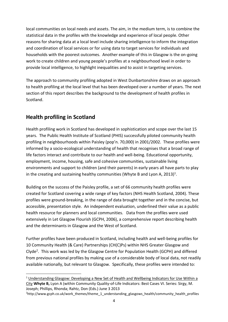local communities on local needs and assets. The aim, in the medium term, is to combine the statistical data in the profiles with the knowledge and experience of local people. Other reasons for sharing data at a local level include sharing intelligence to inform the integration and coordination of local services or for using data to target services for individuals and households with the poorest outcomes. Another example of this in Glasgow is the on-going work to create children and young people's profiles at a neighbourhood level in order to provide local intelligence, to highlight inequalities and to assist in targeting services.

The approach to community profiling adopted in West Dunbartonshire draws on an approach to health profiling at the local level that has been developed over a number of years. The next section of this report describes the background to the development of health profiles in Scotland.

## <span id="page-6-0"></span>**Health profiling in Scotland**

 $\overline{\phantom{a}}$ 

Health profiling work in Scotland has developed in sophistication and scope over the last 15 years. The Public Health Institute of Scotland (PHIS) successfully piloted community health profiling in neighbourhoods within Paisley (pop'n. 70,000) in 2001/2002. These profiles were informed by a socio-ecological understanding of health that recognises that a broad range of life factors interact and contribute to our health and well-being. Educational opportunity, employment, income, housing, safe and cohesive communities, sustainable living environments and support to children (and their parents) in early years all have parts to play in the creating and sustaining healthy communities (Whyte B and Lyon A, 2013)<sup>1</sup>.

Building on the success of the Paisley profile, a set of 66 community health profiles were created for Scotland covering a wide range of key factors (NHS Health Scotland, 2004). These profiles were ground-breaking, in the range of data brought together and in the concise, but accessible, presentation style. An independent evaluation, underlined their value as a public health resource for planners and local communities. Data from the profiles were used extensively in Let Glasgow Flourish (GCPH, 2006), a comprehensive report describing health and the determinants in Glasgow and the West of Scotland.

Further profiles have been produced in Scotland, including health and well-being profiles for 10 Community Health (& Care) Partnerships (CH(C)Ps) within NHS Greater Glasgow and Clyde<sup>2</sup>. This work was led by the Glasgow Centre for Population Health (GCPH) and differed from previous national profiles by making use of a considerable body of local data, not readily available nationally, but relevant to Glasgow. Specifically, these profiles were intended to:

<sup>&</sup>lt;sup>1</sup> Understanding Glasgow: Developing a New Set of Health and Wellbeing Indicators for Use Within a [City](http://link.springer.com/chapter/10.1007%2F978-94-007-6501-6_3) **Whyte B,** Lyon A (within Community Quality-of-Life Indicators: Best Cases VI. Series: Sirgy, M. Joseph; Phillips, Rhonda; Rahtz, Don (Eds.) June 3 2013

<sup>2</sup>http://www.gcph.co.uk/work\_themes/theme\_1\_understanding\_glasgows\_health/community\_health\_profiles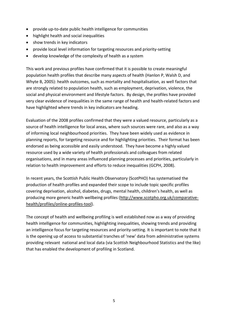- provide up-to-date public health intelligence for communities
- highlight health and social inequalities
- show trends in key indicators
- provide local level information for targeting resources and priority-setting
- develop knowledge of the complexity of health as a system

This work and previous profiles have confirmed that it is possible to create meaningful population health profiles that describe many aspects of health (Hanlon P, Walsh D, and Whyte B, 2005): health outcomes, such as mortality and hospitalisation, as well factors that are strongly related to population health, such as employment, deprivation, violence, the social and physical environment and lifestyle factors. By design, the profiles have provided very clear evidence of inequalities in the same range of health and health-related factors and have highlighted where trends in key indicators are heading.

Evaluation of the 2008 profiles confirmed that they were a valued resource, particularly as a source of health intelligence for local areas, where such sources were rare, and also as a way of informing local neighbourhood priorities. They have been widely used as evidence in planning reports, for targeting resource and for highlighting priorities. Their format has been endorsed as being accessible and easily understood. They have become a highly valued resource used by a wide variety of health professionals and colleagues from related organisations, and in many areas influenced planning processes and priorities, particularly in relation to health improvement and efforts to reduce inequalities (GCPH, 2008).

In recent years, the Scottish Public Health Observatory (ScotPHO) has systematised the production of health profiles and expanded their scope to include topic specific profiles covering deprivation, alcohol, diabetes, drugs, mental health, children's health, as well as producing more generic health wellbeing profiles [\(http://www.scotpho.org.uk/comparative](http://www.scotpho.org.uk/comparative-health/profiles/online-profiles-tool)[health/profiles/online-profiles-tool\)](http://www.scotpho.org.uk/comparative-health/profiles/online-profiles-tool).

The concept of health and wellbeing profiling is well established now as a way of providing health intelligence for communities, highlighting inequalities, showing trends and providing an intelligence focus for targeting resources and priority-setting. It is important to note that it is the opening up of access to substantial tranches of 'new' data from administrative systems providing relevant national and local data (via Scottish Neighbourhood Statistics and the like) that has enabled the development of profiling in Scotland.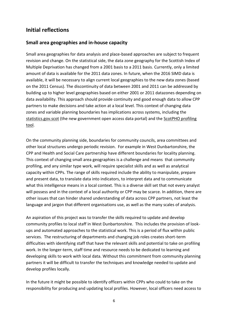## <span id="page-8-0"></span>**Initial reflections**

#### <span id="page-8-1"></span>**Small area geographies and in-house capacity**

Small area geographies for data analysis and place-based approaches are subject to frequent revision and change. On the statistical side, the data zone geography for the Scottish Index of Multiple Deprivation has changed from a 2001 basis to a 2011 basis. Currently, only a limited amount of data is available for the 2011 data zones. In future, when the 2016 SIMD data is available, it will be necessary to align current local geographies to the new data zones (based on the 2011 Census). The discontinuity of data between 2001 and 2011 can be addressed by building up to higher level geographies based on either 2001 or 2011 datazones depending on data availability. This approach should provide continuity and good enough data to allow CPP partners to make decisions and take action at a local level. This context of changing data zones and variable planning boundaries has implications across systems, including the [statistics.gov.scot](file:///C:/Users/cb222w/AppData/Local/Microsoft/Windows/Temporary%20Internet%20Files/Content.Outlook/JM71FCXS/statistics.gov.scot) (the new government open access data portal) and the [ScotPHO profiling](http://www.scotpho.org.uk/comparative-health/profiles/online-profiles-tool)  [tool.](http://www.scotpho.org.uk/comparative-health/profiles/online-profiles-tool)

On the community planning side, boundaries for community councils, area committees and other local structures undergo periodic revision. For example in West Dunbartonshire, the CPP and Health and Social Care partnership have different boundaries for locality planning. This context of changing small area geographies is a challenge and means that community profiling, and any similar type work, will require specialist skills and as well as analytical capacity within CPPs. The range of skills required include the ability to manipulate, prepare and present data, to translate data into indicators, to interpret data and to communicate what this intelligence means in a local context. This is a diverse skill set that not every analyst will possess and in the context of a local authority or CPP may be scarce. In addition, there are other issues that can hinder shared understanding of data across CPP partners, not least the language and jargon that different organisations use, as well as the many scales of analysis.

An aspiration of this project was to transfer the skills required to update and develop community profiles to local staff in West Dunbartonshire. This includes the provision of lookups and automated approaches to the statistical work. This is a period of flux within public services. The restructuring of departments and changing job roles creates short-term difficulties with identifying staff that have the relevant skills and potential to take on profiling work. In the longer-term, staff time and resource needs to be dedicated to learning and developing skills to work with local data. Without this commitment from community planning partners it will be difficult to transfer the techniques and knowledge needed to update and develop profiles locally.

In the future it might be possible to identify officers within CPPs who could to take on the responsibility for producing and updating local profiles. However, local officers need access to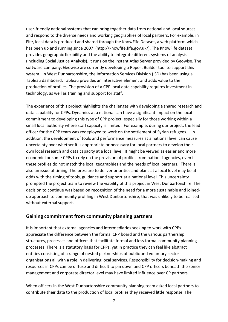user-friendly national systems that can bring together data from national and local sources and respond to the diverse needs and working geographies of local partners. For example, in Fife, local data is produced and shared through the KnowFife Dataset, a web platform which has been up and running since 2007 (http://knowfife.fife.gov.uk/). The KnowFife dataset provides geographic flexibility and the ability to integrate different systems of analysis (including Social Justice Analysis). It runs on the Instant Atlas Server provided by Geowise. The software company, Geowise are currently developing a Report Builder tool to support this system. In West Dunbartonshire, the Information Services Division (ISD) has been using a Tableau dashboard. Tableau provides an interactive element and adds value to the production of profiles. The provision of a CPP local data capability requires investment in technology, as well as training and support for staff.

The experience of this project highlights the challenges with developing a shared research and data capability for CPPs. Dynamics at a national can have a significant impact on the local commitment to developing this type of CPP project, especially for those working within a small local authority where staff capacity is limited. For example, during our project, the lead officer for the CPP team was redeployed to work on the settlement of Syrian refugees. In addition, the development of tools and performance measures at a national level can cause uncertainty over whether it is appropriate or necessary for local partners to develop their own local research and data capacity at a local level. It might be viewed as easier and more economic for some CPPs to rely on the provision of profiles from national agencies, even if these profiles do not match the local geographies and the needs of local partners. There is also an issue of timing. The pressure to deliver priorities and plans at a local level may be at odds with the timing of tools, guidance and support at a national level. This uncertainty prompted the project team to review the viability of this project in West Dunbartonshire. The decision to continue was based on recognition of the need for a more sustainable and joinedup approach to community profiling in West Dunbartonshire, that was unlikely to be realised without external support.

### <span id="page-9-0"></span>**Gaining commitment from community planning partners**

It is important that external agencies and intermediaries seeking to work with CPPs appreciate the difference between the formal CPP board and the various partnership structures, processes and officers that facilitate formal and less formal community planning processes. There is a statutory basis for CPPs, yet in practice they can feel like abstract entities consisting of a range of nested partnerships of public and voluntary sector organisations all with a role in delivering local services. Responsibility for decision-making and resources in CPPs can be diffuse and difficult to pin down and CPP officers beneath the senior management and corporate director level may have limited influence over CP partners.

When officers in the West Dunbartonshire community planning team asked local partners to contribute their data to the production of local profiles they received little response. The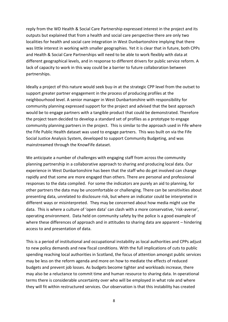reply from the WD Health & Social Care Partnership expressed interest in the project and its outputs but explained that from a health and social care perspective there are only two localities for health and social care integration in West Dunbartonshire implying that there was little interest in working with smaller geographies. Yet it is clear that in future, both CPPs and Health & Social Care Partnerships will need to be able to work flexibly with data at different geographical levels, and in response to different drivers for public service reform. A lack of capacity to work in this way could be a barrier to future collaboration between partnerships.

Ideally a project of this nature would seek buy-in at the strategic CPP level from the outset to support greater partner engagement in the process of producing profiles at the neighbourhood level. A senior manager in West Dunbartonshire with responsibility for community planning expressed support for the project and advised that the best approach would be to engage partners with a tangible product that could be demonstrated. Therefore the project team decided to develop a standard set of profiles as a prototype to engage community planning partners in the project. This is similar to the approach used in Fife where the Fife Public Health dataset was used to engage partners. This was built on via the Fife Social Justice Analysis System, developed to support Community Budgeting, and was mainstreamed through the KnowFife dataset.

We anticipate a number of challenges with engaging staff from across the community planning partnership in a collaborative approach to sharing and producing local data. Our experience in West Dunbartonshire has been that the staff who do get involved can change rapidly and that some are more engaged than others. There are personal and professional responses to the data compiled. For some the indicators are purely an aid to planning, for other partners the data may be uncomfortable or challenging. There can be sensitivities about presenting data, unrelated to disclosure risk, but where an indicator could be interpreted in different ways or misinterpreted. They may be concerned about how media might use the data. This is where a culture of 'open data' can clash with a more conservative, 'risk-averse', operating environment. Data held on community safety by the police is a good example of where these differences of approach and in attitudes to sharing data are apparent – hindering access to and presentation of data.

This is a period of institutional and occupational instability as local authorities and CPPs adjust to new policy demands and new fiscal conditions. With the full implications of cuts to public spending reaching local authorities in Scotland, the focus of attention amongst public services may be less on the reform agenda and more on how to mediate the effects of reduced budgets and prevent job losses. As budgets become tighter and workloads increase, there may also be a reluctance to commit time and human resource to sharing data. In operational terms there is considerable uncertainty over who will be employed in what role and where they will fit within restructured services. Our observation is that this instability has created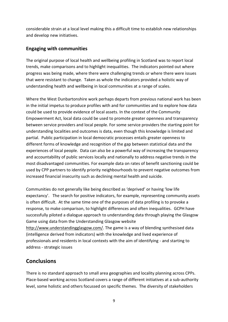considerable strain at a local level making this a difficult time to establish new relationships and develop new initiatives.

### <span id="page-11-0"></span>**Engaging with communities**

The original purpose of local health and wellbeing profiling in Scotland was to report local trends, make comparisons and to highlight inequalities. The indicators pointed out where progress was being made, where there were challenging trends or where there were issues that were resistant to change. Taken as whole the indicators provided a holistic way of understanding health and wellbeing in local communities at a range of scales.

Where the West Dunbartonshire work perhaps departs from previous national work has been in the initial impetus to produce profiles with and for communities and to explore how data could be used to provide evidence of local assets. In the context of the Community Empowerment Act, local data could be used to promote greater openness and transparency between service providers and local people. For some service providers the starting point for understanding localities and outcomes is data, even though this knowledge is limited and partial. Public participation in local democratic processes entails greater openness to different forms of knowledge and recognition of the gap between statistical data and the experiences of local people. Data can also be a powerful way of increasing the transparency and accountability of public services locally and nationally to address negative trends in the most disadvantaged communities. For example data on rates of benefit sanctioning could be used by CPP partners to identify priority neighbourhoods to prevent negative outcomes from increased financial insecurity such as declining mental health and suicide.

Communities do not generally like being described as 'deprived' or having 'low life expectancy'. The search for positive indicators, for example, representing community assets is often difficult. At the same time one of the purposes of data profiling is to provoke a response, to make comparison, to highlight differences and often inequalities. GCPH have successfully piloted a dialogue approach to understanding data through playing the Glasgow Game using data from the Understanding Glasgow website [http://www.understandingglasgow.com/.](http://www.understandingglasgow.com/) The game is a way of blending synthesised data (intelligence derived from indicators) with the knowledge and lived experience of professionals and residents in local contexts with the aim of identifying - and starting to address - strategic issues

## <span id="page-11-1"></span>**Conclusions**

There is no standard approach to small area geographies and locality planning across CPPs. Place-based working across Scotland covers a range of different initiatives at a sub-authority level, some holistic and others focussed on specific themes. The diversity of stakeholders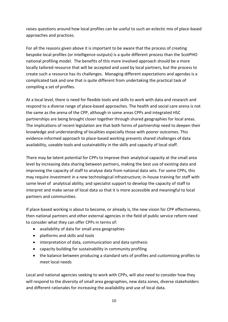raises questions around how local profiles can be useful to such an eclectic mix of place-based approaches and practices.

For all the reasons given above it is important to be aware that the process of creating bespoke local profiles (or intelligence outputs) is a quite different process than the ScotPHO national profiling model. The benefits of this more involved approach should be a more locally tailored resource that will be accepted and used by local partners, but the process to create such a resource has its challenges. Managing different expectations and agendas is a complicated task and one that is quite different from undertaking the practical task of compiling a set of profiles.

At a local level, there is need for flexible tools and skills to work with data and research and respond to a diverse range of place-based approaches. The health and social care arena is not the same as the arena of the CPP, although in some areas CPPs and integrated HSC partnerships are being brought closer together through shared geographies for local areas. The implications of recent legislation are that both forms of partnership need to deepen their knowledge and understanding of localities especially those with poorer outcomes. This evidence-informed approach to place-based working presents shared challenges of data availability, useable tools and sustainability in the skills and capacity of local staff.

There may be latent potential for CPPs to improve their analytical capacity at the small area level by increasing data sharing between partners, making the best use of existing data and improving the capacity of staff to analyse data from national data sets. For some CPPs, this may require investment in a new technological infrastructure; in-house training for staff with some level of analytical ability; and specialist support to develop the capacity of staff to interpret and make sense of local data so that it is more accessible and meaningful to local partners and communities.

If place-based working is about to become, or already is, the new vision for CPP effectiveness, then national partners and other external agencies in the field of public service reform need to consider what they can offer CPPs in terms of:

- availability of data for small area geographies
- platforms and skills and tools
- interpretation of data, communication and data synthesis
- capacity building for sustainability in community profiling
- the balance between producing a standard sets of profiles and customising profiles to meet local needs

Local and national agencies seeking to work with CPPs, will also need to consider how they will respond to the diversity of small area geographies, new data zones, diverse stakeholders and different rationales for increasing the availability and use of local data.